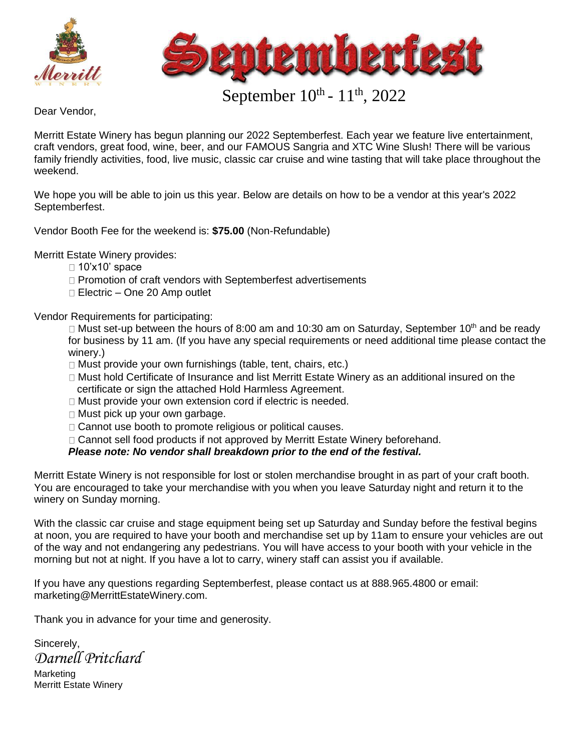



## September  $10^{th}$  -  $11^{th}$ , 2022

Dear Vendor,

Merritt Estate Winery has begun planning our 2022 Septemberfest. Each year we feature live entertainment, craft vendors, great food, wine, beer, and our FAMOUS Sangria and XTC Wine Slush! There will be various family friendly activities, food, live music, classic car cruise and wine tasting that will take place throughout the weekend.

We hope you will be able to join us this year. Below are details on how to be a vendor at this year's 2022 Septemberfest.

Vendor Booth Fee for the weekend is: **\$75.00** (Non-Refundable)

Merritt Estate Winery provides:

- $\Box$  10'x10' space
- □ Promotion of craft vendors with Septemberfest advertisements
- □ Electric One 20 Amp outlet

Vendor Requirements for participating:

Must set-up between the hours of 8:00 am and 10:30 am on Saturday, September  $10<sup>th</sup>$  and be ready for business by 11 am. (If you have any special requirements or need additional time please contact the winery.)

- $\Box$  Must provide your own furnishings (table, tent, chairs, etc.)
- Must hold Certificate of Insurance and list Merritt Estate Winery as an additional insured on the certificate or sign the attached Hold Harmless Agreement.
- Must provide your own extension cord if electric is needed.
- □ Must pick up your own garbage.
- □ Cannot use booth to promote religious or political causes.
- □ Cannot sell food products if not approved by Merritt Estate Winery beforehand.

## *Please note: No vendor shall breakdown prior to the end of the festival.*

Merritt Estate Winery is not responsible for lost or stolen merchandise brought in as part of your craft booth. You are encouraged to take your merchandise with you when you leave Saturday night and return it to the winery on Sunday morning.

With the classic car cruise and stage equipment being set up Saturday and Sunday before the festival begins at noon, you are required to have your booth and merchandise set up by 11am to ensure your vehicles are out of the way and not endangering any pedestrians. You will have access to your booth with your vehicle in the morning but not at night. If you have a lot to carry, winery staff can assist you if available.

If you have any questions regarding Septemberfest, please contact us at 888.965.4800 or email: marketing@MerrittEstateWinery.com.

Thank you in advance for your time and generosity.

Sincerely, *Darnell Pritchard*

Marketing Merritt Estate Winery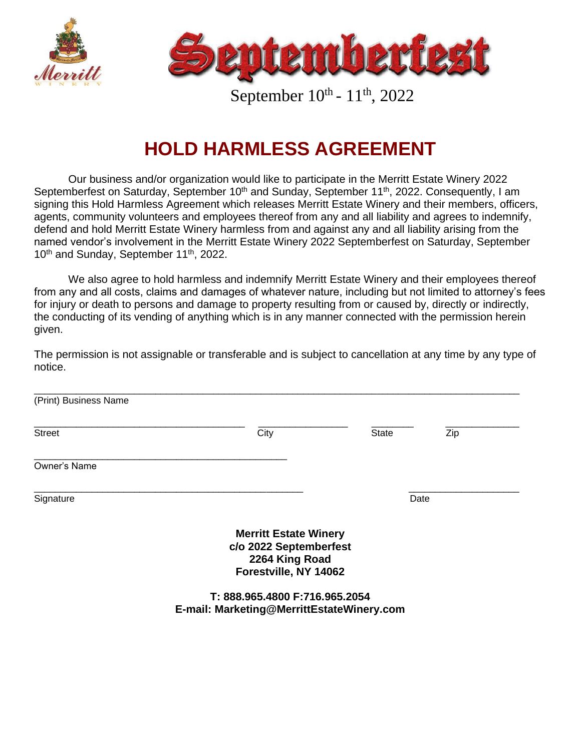



September  $10^{th}$  -  $11^{th}$ , 2022

## **HOLD HARMLESS AGREEMENT**

Our business and/or organization would like to participate in the Merritt Estate Winery 2022 Septemberfest on Saturday, September 10<sup>th</sup> and Sunday, September 11<sup>th</sup>, 2022. Consequently, I am signing this Hold Harmless Agreement which releases Merritt Estate Winery and their members, officers, agents, community volunteers and employees thereof from any and all liability and agrees to indemnify, defend and hold Merritt Estate Winery harmless from and against any and all liability arising from the named vendor's involvement in the Merritt Estate Winery 2022 Septemberfest on Saturday, September 10<sup>th</sup> and Sunday, September 11<sup>th</sup>, 2022.

We also agree to hold harmless and indemnify Merritt Estate Winery and their employees thereof from any and all costs, claims and damages of whatever nature, including but not limited to attorney's fees for injury or death to persons and damage to property resulting from or caused by, directly or indirectly, the conducting of its vending of anything which is in any manner connected with the permission herein given.

The permission is not assignable or transferable and is subject to cancellation at any time by any type of notice.

| (Print) Business Name |                                                                                                   |              |     |  |
|-----------------------|---------------------------------------------------------------------------------------------------|--------------|-----|--|
| <b>Street</b>         | City                                                                                              | <b>State</b> | Zip |  |
| Owner's Name          |                                                                                                   |              |     |  |
| Signature             |                                                                                                   | Date         |     |  |
|                       | <b>Merritt Estate Winery</b><br>c/o 2022 Septemberfest<br>2264 King Road<br>Forestville, NY 14062 |              |     |  |

**T: 888.965.4800 F:716.965.2054 E-mail: Marketing@MerrittEstateWinery.com**